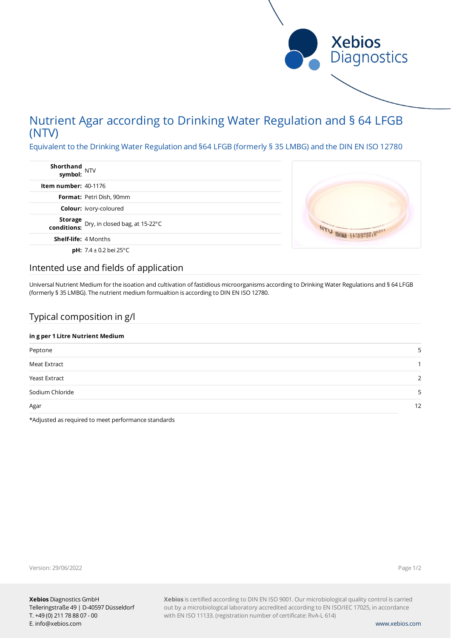

# Nutrient Agar according to Drinking Water Regulation and § 64 LFGB (NTV)

Equivalent to the Drinking Water Regulation and §64 LFGB (formerly § 35 LMBG) and the DIN EN ISO 12780

| Shorthand<br>NTV<br>symbol: |                                                           |
|-----------------------------|-----------------------------------------------------------|
| Item number: $40-1176$      |                                                           |
|                             | <b>Format:</b> Petri Dish, 90mm                           |
|                             | <b>Colour:</b> ivory-coloured                             |
|                             | <b>Storage</b> Dry, in closed bag, at 15-22°C conditions: |
| <b>Shelf-life: 4 Months</b> |                                                           |
|                             | <b>pH:</b> 7.4 $\pm$ 0.2 bei 25 $^{\circ}$ C              |



### Intented use and fields of application

Universal Nutrient Medium for the isoation and cultivation of fastidious microorganisms according to Drinking Water Regulations and § 64 LFGB (formerly § 35 LMBG). The nutrient medium formualtion is according to DIN EN ISO 12780.

### Typical composition in g/l

### **in g per 1 Litre Nutrient Medium**

| . .             |               |
|-----------------|---------------|
| Peptone         |               |
| Meat Extract    |               |
| Yeast Extract   | $\mathcal{D}$ |
| Sodium Chloride | ς             |
| Agar            | 12            |

\*Adjusted as required to meet performance standards

Version: 29/06/2022

Page 1/2

**Xebios** is certified according to DIN EN ISO 9001. Our microbiological quality control is carried out by a microbiological laboratory accredited according to EN ISO/IEC 17025, in accordance with EN ISO 11133. (registration number of certificate: RvA-L 614)